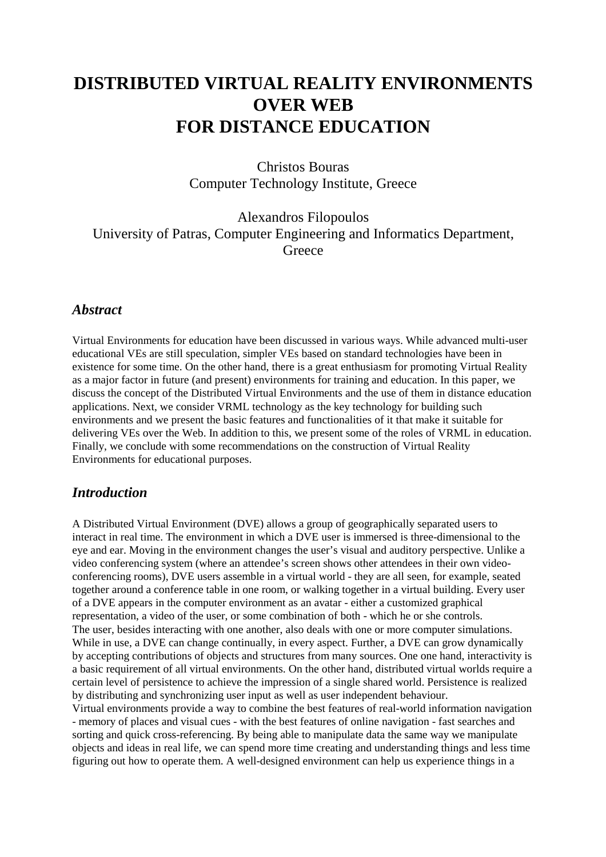# **DISTRIBUTED VIRTUAL REALITY ENVIRONMENTS OVER WEB FOR DISTANCE EDUCATION**

Christos Bouras Computer Technology Institute, Greece

Alexandros Filopoulos University of Patras, Computer Engineering and Informatics Department, **Greece** 

#### *Abstract*

Virtual Environments for education have been discussed in various ways. While advanced multi-user educational VEs are still speculation, simpler VEs based on standard technologies have been in existence for some time. On the other hand, there is a great enthusiasm for promoting Virtual Reality as a major factor in future (and present) environments for training and education. In this paper, we discuss the concept of the Distributed Virtual Environments and the use of them in distance education applications. Next, we consider VRML technology as the key technology for building such environments and we present the basic features and functionalities of it that make it suitable for delivering VEs over the Web. In addition to this, we present some of the roles of VRML in education. Finally, we conclude with some recommendations on the construction of Virtual Reality Environments for educational purposes.

#### *Introduction*

A Distributed Virtual Environment (DVE) allows a group of geographically separated users to interact in real time. The environment in which a DVE user is immersed is three-dimensional to the eye and ear. Moving in the environment changes the user's visual and auditory perspective. Unlike a video conferencing system (where an attendee's screen shows other attendees in their own videoconferencing rooms), DVE users assemble in a virtual world - they are all seen, for example, seated together around a conference table in one room, or walking together in a virtual building. Every user of a DVE appears in the computer environment as an avatar - either a customized graphical representation, a video of the user, or some combination of both - which he or she controls. The user, besides interacting with one another, also deals with one or more computer simulations. While in use, a DVE can change continually, in every aspect. Further, a DVE can grow dynamically by accepting contributions of objects and structures from many sources. One one hand, interactivity is a basic requirement of all virtual environments. On the other hand, distributed virtual worlds require a certain level of persistence to achieve the impression of a single shared world. Persistence is realized by distributing and synchronizing user input as well as user independent behaviour.

Virtual environments provide a way to combine the best features of real-world information navigation - memory of places and visual cues - with the best features of online navigation - fast searches and sorting and quick cross-referencing. By being able to manipulate data the same way we manipulate objects and ideas in real life, we can spend more time creating and understanding things and less time figuring out how to operate them. A well-designed environment can help us experience things in a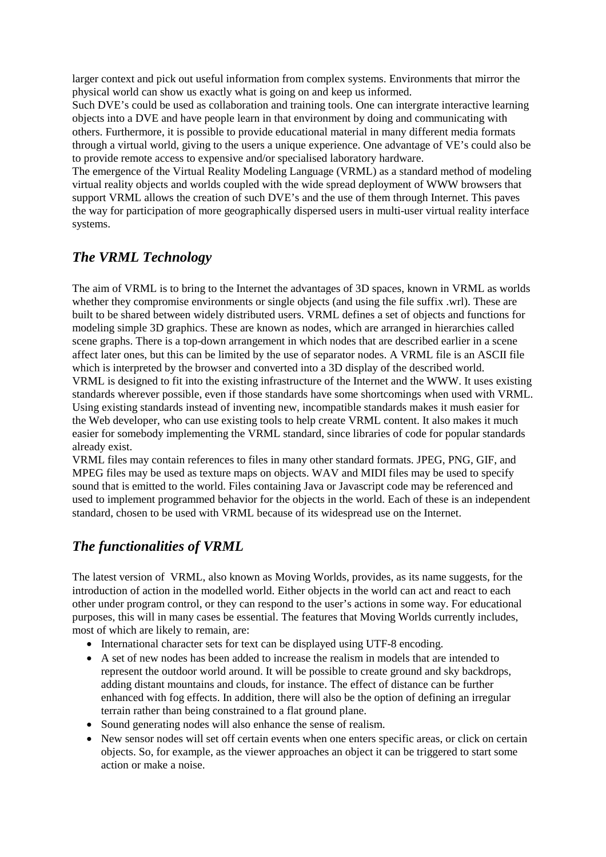larger context and pick out useful information from complex systems. Environments that mirror the physical world can show us exactly what is going on and keep us informed.

Such DVE's could be used as collaboration and training tools. One can intergrate interactive learning objects into a DVE and have people learn in that environment by doing and communicating with others. Furthermore, it is possible to provide educational material in many different media formats through a virtual world, giving to the users a unique experience. One advantage of VE's could also be to provide remote access to expensive and/or specialised laboratory hardware.

The emergence of the Virtual Reality Modeling Language (VRML) as a standard method of modeling virtual reality objects and worlds coupled with the wide spread deployment of WWW browsers that support VRML allows the creation of such DVE's and the use of them through Internet. This paves the way for participation of more geographically dispersed users in multi-user virtual reality interface systems.

### *The VRML Technology*

The aim of VRML is to bring to the Internet the advantages of 3D spaces, known in VRML as worlds whether they compromise environments or single objects (and using the file suffix .wrl). These are built to be shared between widely distributed users. VRML defines a set of objects and functions for modeling simple 3D graphics. These are known as nodes, which are arranged in hierarchies called scene graphs. There is a top-down arrangement in which nodes that are described earlier in a scene affect later ones, but this can be limited by the use of separator nodes. A VRML file is an ASCII file which is interpreted by the browser and converted into a 3D display of the described world. VRML is designed to fit into the existing infrastructure of the Internet and the WWW. It uses existing standards wherever possible, even if those standards have some shortcomings when used with VRML. Using existing standards instead of inventing new, incompatible standards makes it mush easier for the Web developer, who can use existing tools to help create VRML content. It also makes it much easier for somebody implementing the VRML standard, since libraries of code for popular standards already exist.

VRML files may contain references to files in many other standard formats. JPEG, PNG, GIF, and MPEG files may be used as texture maps on objects. WAV and MIDI files may be used to specify sound that is emitted to the world. Files containing Java or Javascript code may be referenced and used to implement programmed behavior for the objects in the world. Each of these is an independent standard, chosen to be used with VRML because of its widespread use on the Internet.

# *The functionalities of VRML*

The latest version of VRML, also known as Moving Worlds, provides, as its name suggests, for the introduction of action in the modelled world. Either objects in the world can act and react to each other under program control, or they can respond to the user's actions in some way. For educational purposes, this will in many cases be essential. The features that Moving Worlds currently includes, most of which are likely to remain, are:

- International character sets for text can be displayed using UTF-8 encoding.
- A set of new nodes has been added to increase the realism in models that are intended to represent the outdoor world around. It will be possible to create ground and sky backdrops, adding distant mountains and clouds, for instance. The effect of distance can be further enhanced with fog effects. In addition, there will also be the option of defining an irregular terrain rather than being constrained to a flat ground plane.
- Sound generating nodes will also enhance the sense of realism.
- New sensor nodes will set off certain events when one enters specific areas, or click on certain objects. So, for example, as the viewer approaches an object it can be triggered to start some action or make a noise.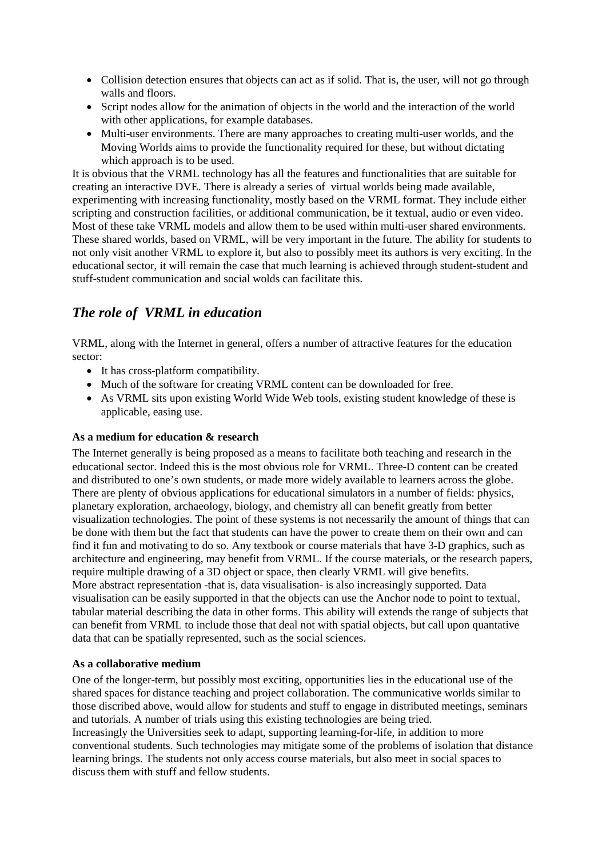- Collision detection ensures that objects can act as if solid. That is, the user, will not go through walls and floors.
- Script nodes allow for the animation of objects in the world and the interaction of the world with other applications, for example databases.
- Multi-user environments. There are many approaches to creating multi-user worlds, and the Moving Worlds aims to provide the functionality required for these, but without dictating which approach is to be used.

It is obvious that the VRML technology has all the features and functionalities that are suitable for creating an interactive DVE. There is already a series of virtual worlds being made available, experimenting with increasing functionality, mostly based on the VRML format. They include either scripting and construction facilities, or additional communication, be it textual, audio or even video. Most of these take VRML models and allow them to be used within multi-user shared environments. These shared worlds, based on VRML, will be very important in the future. The ability for students to not only visit another VRML to explore it, but also to possibly meet its authors is very exciting. In the educational sector, it will remain the case that much learning is achieved through student-student and stuff-student communication and social wolds can facilitate this.

### *The role of VRML in education*

VRML, along with the Internet in general, offers a number of attractive features for the education sector:

- It has cross-platform compatibility.
- Much of the software for creating VRML content can be downloaded for free.
- As VRML sits upon existing World Wide Web tools, existing student knowledge of these is applicable, easing use.

#### **As a medium for education & research**

The Internet generally is being proposed as a means to facilitate both teaching and research in the educational sector. Indeed this is the most obvious role for VRML. Three-D content can be created and distributed to one's own students, or made more widely available to learners across the globe. There are plenty of obvious applications for educational simulators in a number of fields: physics, planetary exploration, archaeology, biology, and chemistry all can benefit greatly from better visualization technologies. The point of these systems is not necessarily the amount of things that can be done with them but the fact that students can have the power to create them on their own and can find it fun and motivating to do so. Any textbook or course materials that have 3-D graphics, such as architecture and engineering, may benefit from VRML. If the course materials, or the research papers, require multiple drawing of a 3D object or space, then clearly VRML will give benefits. More abstract representation -that is, data visualisation- is also increasingly supported. Data visualisation can be easily supported in that the objects can use the Anchor node to point to textual, tabular material describing the data in other forms. This ability will extends the range of subjects that can benefit from VRML to include those that deal not with spatial objects, but call upon quantative data that can be spatially represented, such as the social sciences.

#### **As a collaborative medium**

One of the longer-term, but possibly most exciting, opportunities lies in the educational use of the shared spaces for distance teaching and project collaboration. The communicative worlds similar to those discribed above, would allow for students and stuff to engage in distributed meetings, seminars and tutorials. A number of trials using this existing technologies are being tried. Increasingly the Universities seek to adapt, supporting learning-for-life, in addition to more conventional students. Such technologies may mitigate some of the problems of isolation that distance learning brings. The students not only access course materials, but also meet in social spaces to discuss them with stuff and fellow students.